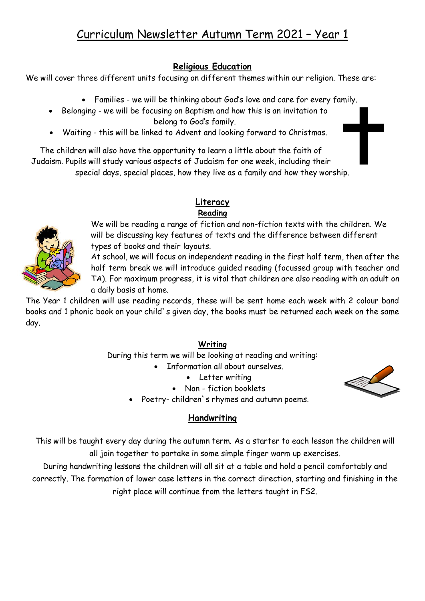# **Religious Education**

We will cover three different units focusing on different themes within our religion. These are:

- Families we will be thinking about God's love and care for every family.
- Belonging we will be focusing on Baptism and how this is an invitation to belong to God's family.

Waiting - this will be linked to Advent and looking forward to Christmas.

The children will also have the opportunity to learn a little about the faith of Judaism. Pupils will study various aspects of Judaism for one week, including their special days, special places, how they live as a family and how they worship.

> **Literacy Reading**

We will be reading a range of fiction and non-fiction texts with the children. We will be discussing key features of texts and the difference between different types of books and their layouts.

At school, we will focus on independent reading in the first half term, then after the half term break we will introduce guided reading (focussed group with teacher and TA). For maximum progress, it is vital that children are also reading with an adult on a daily basis at home.

The Year 1 children will use reading records, these will be sent home each week with 2 colour band books and 1 phonic book on your child`s given day, the books must be returned each week on the same day.

## **Writing**

During this term we will be looking at reading and writing:

- Information all about ourselves.
	- Letter writing
	- Non fiction booklets
- Poetry- children`s rhymes and autumn poems.

# **Handwriting**

This will be taught every day during the autumn term. As a starter to each lesson the children will all join together to partake in some simple finger warm up exercises.

During handwriting lessons the children will all sit at a table and hold a pencil comfortably and correctly. The formation of lower case letters in the correct direction, starting and finishing in the right place will continue from the letters taught in FS2.



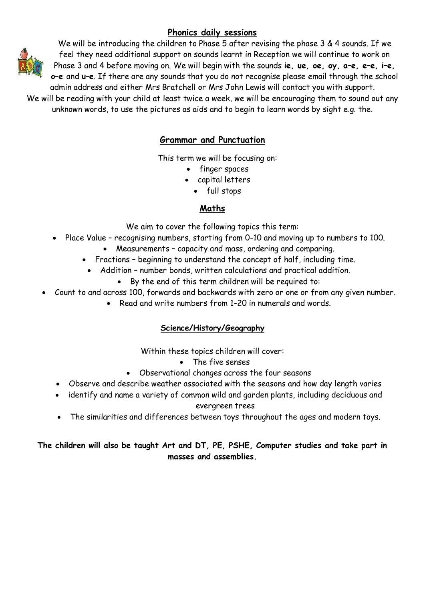## **Phonics daily sessions**



We will be introducing the children to Phase 5 after revising the phase 3 & 4 sounds. If we feel they need additional support on sounds learnt in Reception we will continue to work on Phase 3 and 4 before moving on. We will begin with the sounds **ie, ue, oe, oy, a–e, e–e, i–e, o–e** and **u–e**. If there are any sounds that you do not recognise please email through the school admin address and either Mrs Bratchell or Mrs John Lewis will contact you with support.

We will be reading with your child at least twice a week, we will be encouraging them to sound out any unknown words, to use the pictures as aids and to begin to learn words by sight e.g. the.

### **Grammar and Punctuation**

This term we will be focusing on:

- finger spaces
- capital letters
	- full stops

#### **Maths**

We aim to cover the following topics this term:

- Place Value recognising numbers, starting from 0-10 and moving up to numbers to 100.
	- Measurements capacity and mass, ordering and comparing.
	- Fractions beginning to understand the concept of half, including time.
		- Addition number bonds, written calculations and practical addition.
			- By the end of this term children will be required to:
- Count to and across 100, forwards and backwards with zero or one or from any given number.
	- Read and write numbers from 1-20 in numerals and words.

### **Science/History/Geography**

Within these topics children will cover:

- The five senses
- Observational changes across the four seasons
- Observe and describe weather associated with the seasons and how day length varies
- identify and name a variety of common wild and garden plants, including deciduous and evergreen trees
- The similarities and differences between toys throughout the ages and modern toys.

#### **The children will also be taught Art and DT, PE, PSHE, Computer studies and take part in masses and assemblies.**